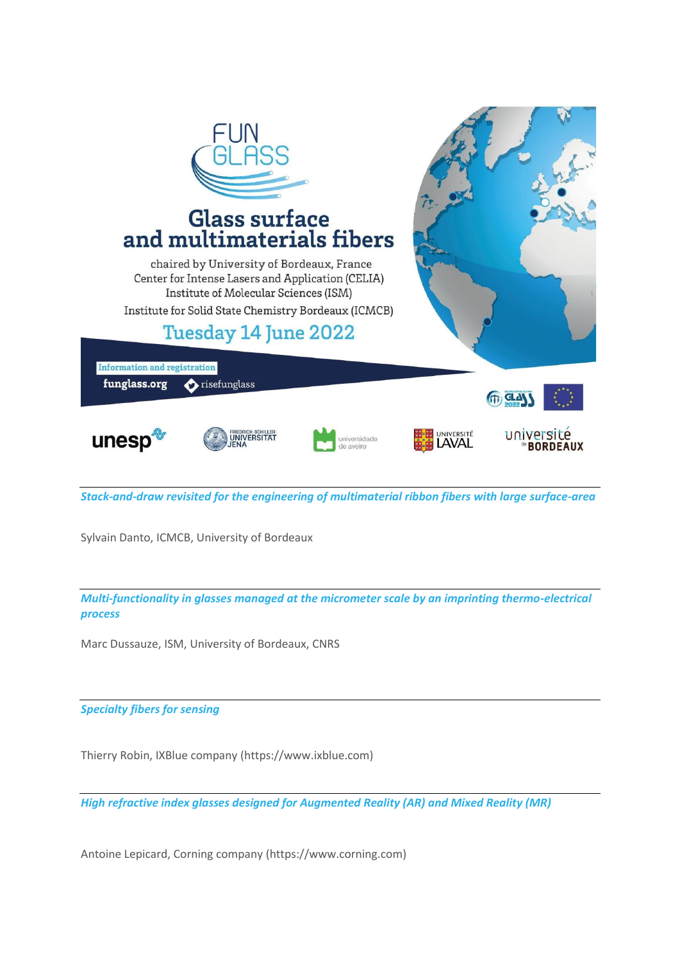

*Stack-and-draw revisited for the engineering of multimaterial ribbon fibers with large surface-area* 

Sylvain Danto, ICMCB, University of Bordeaux

*Multi-functionality in glasses managed at the micrometer scale by an imprinting thermo-electrical process* 

Marc Dussauze, ISM, University of Bordeaux, CNRS

*Specialty fibers for sensing* 

Thierry Robin, IXBlue company (https://www.ixblue.com)

*High refractive index glasses designed for Augmented Reality (AR) and Mixed Reality (MR)* 

Antoine Lepicard, Corning company (https://www.corning.com)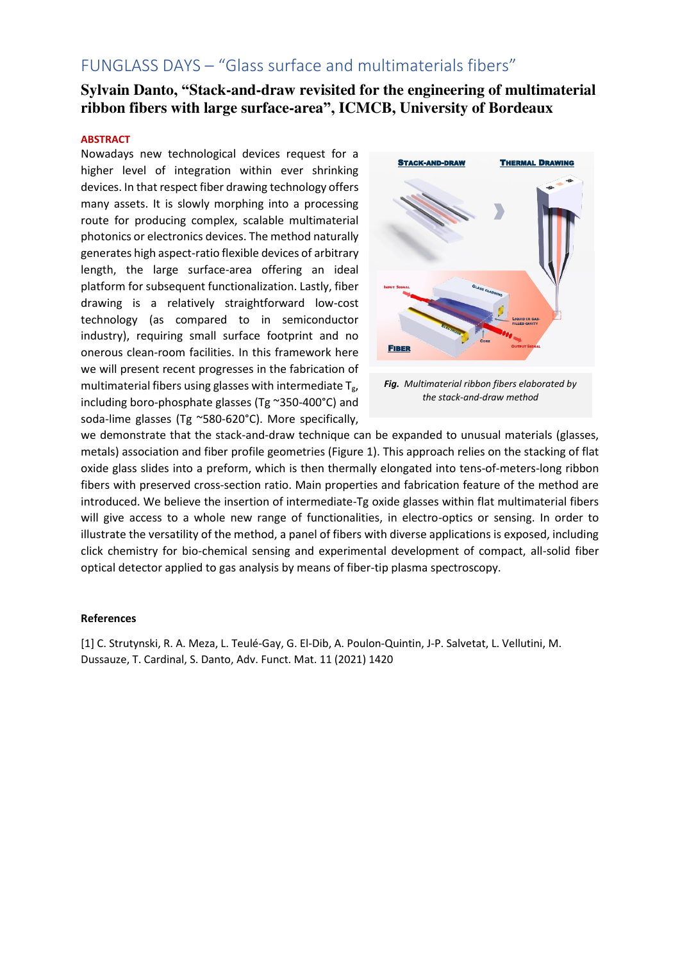## **Sylvain Danto, "Stack-and-draw revisited for the engineering of multimaterial ribbon fibers with large surface-area", ICMCB, University of Bordeaux**

#### **ABSTRACT**

Nowadays new technological devices request for a higher level of integration within ever shrinking devices. In that respect fiber drawing technology offers many assets. It is slowly morphing into a processing route for producing complex, scalable multimaterial photonics or electronics devices. The method naturally generates high aspect-ratio flexible devices of arbitrary length, the large surface-area offering an ideal platform for subsequent functionalization. Lastly, fiber drawing is a relatively straightforward low-cost technology (as compared to in semiconductor industry), requiring small surface footprint and no onerous clean-room facilities. In this framework here we will present recent progresses in the fabrication of multimaterial fibers using glasses with intermediate  $T_{g}$ , including boro-phosphate glasses (Tg ~350-400°C) and soda-lime glasses (Tg ~580-620°C). More specifically,



*Fig. Multimaterial ribbon fibers elaborated by the stack-and-draw method* 

we demonstrate that the stack-and-draw technique can be expanded to unusual materials (glasses, metals) association and fiber profile geometries (Figure 1). This approach relies on the stacking of flat oxide glass slides into a preform, which is then thermally elongated into tens-of-meters-long ribbon fibers with preserved cross-section ratio. Main properties and fabrication feature of the method are introduced. We believe the insertion of intermediate-Tg oxide glasses within flat multimaterial fibers will give access to a whole new range of functionalities, in electro-optics or sensing. In order to illustrate the versatility of the method, a panel of fibers with diverse applications is exposed, including click chemistry for bio-chemical sensing and experimental development of compact, all-solid fiber optical detector applied to gas analysis by means of fiber-tip plasma spectroscopy.

#### **References**

[1] C. Strutynski, R. A. Meza, L. Teulé-Gay, G. El-Dib, A. Poulon-Quintin, J-P. Salvetat, L. Vellutini, M. Dussauze, T. Cardinal, S. Danto, Adv. Funct. Mat. 11 (2021) 1420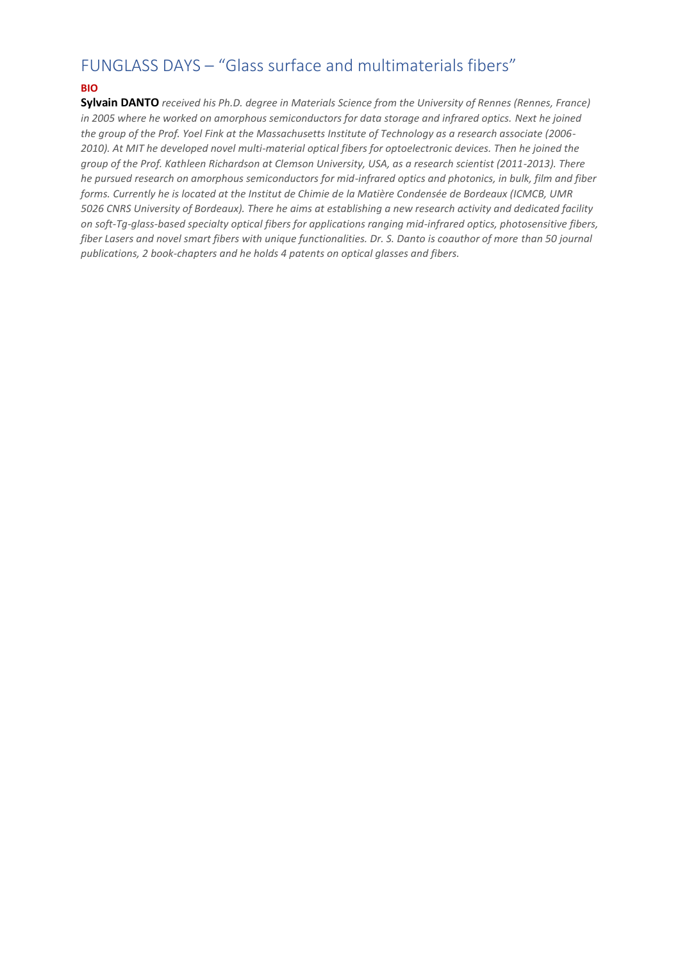### **BIO**

**Sylvain DANTO** *received his Ph.D. degree in Materials Science from the University of Rennes (Rennes, France) in 2005 where he worked on amorphous semiconductors for data storage and infrared optics. Next he joined the group of the Prof. Yoel Fink at the Massachusetts Institute of Technology as a research associate (2006- 2010). At MIT he developed novel multi-material optical fibers for optoelectronic devices. Then he joined the group of the Prof. Kathleen Richardson at Clemson University, USA, as a research scientist (2011-2013). There he pursued research on amorphous semiconductors for mid-infrared optics and photonics, in bulk, film and fiber forms. Currently he is located at the Institut de Chimie de la Matière Condensée de Bordeaux (ICMCB, UMR 5026 CNRS University of Bordeaux). There he aims at establishing a new research activity and dedicated facility on soft-Tg-glass-based specialty optical fibers for applications ranging mid-infrared optics, photosensitive fibers, fiber Lasers and novel smart fibers with unique functionalities. Dr. S. Danto is coauthor of more than 50 journal publications, 2 book-chapters and he holds 4 patents on optical glasses and fibers.*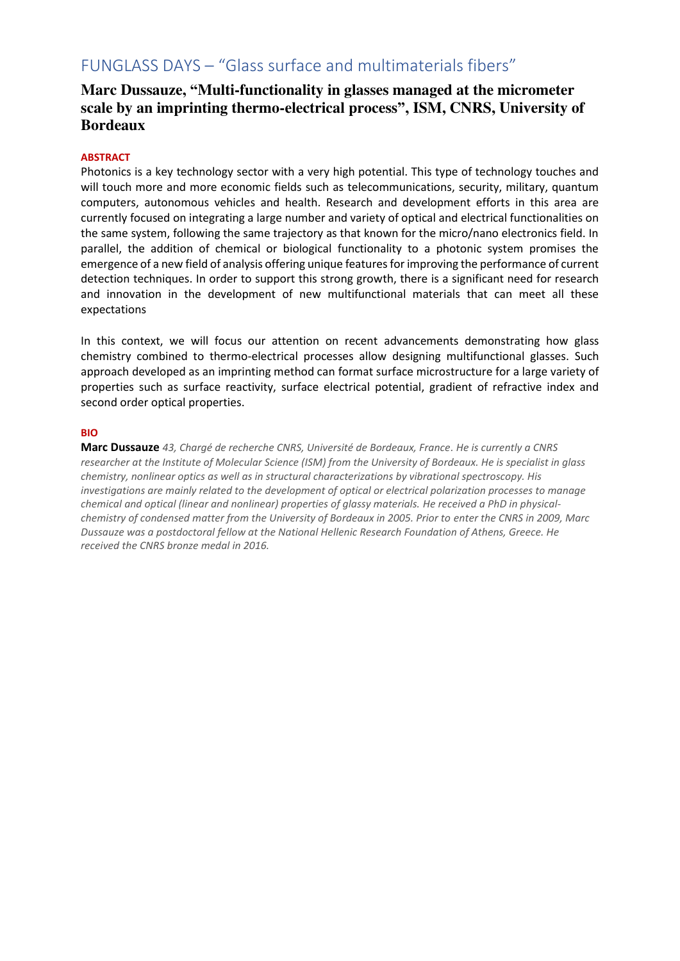## **Marc Dussauze, "Multi-functionality in glasses managed at the micrometer scale by an imprinting thermo-electrical process", ISM, CNRS, University of Bordeaux**

## **ABSTRACT**

Photonics is a key technology sector with a very high potential. This type of technology touches and will touch more and more economic fields such as telecommunications, security, military, quantum computers, autonomous vehicles and health. Research and development efforts in this area are currently focused on integrating a large number and variety of optical and electrical functionalities on the same system, following the same trajectory as that known for the micro/nano electronics field. In parallel, the addition of chemical or biological functionality to a photonic system promises the emergence of a new field of analysis offering unique features for improving the performance of current detection techniques. In order to support this strong growth, there is a significant need for research and innovation in the development of new multifunctional materials that can meet all these expectations

In this context, we will focus our attention on recent advancements demonstrating how glass chemistry combined to thermo-electrical processes allow designing multifunctional glasses. Such approach developed as an imprinting method can format surface microstructure for a large variety of properties such as surface reactivity, surface electrical potential, gradient of refractive index and second order optical properties.

#### **BIO**

**Marc Dussauze** *43, Chargé de recherche CNRS, Université de Bordeaux, France. He is currently a CNRS researcher at the Institute of Molecular Science (ISM) from the University of Bordeaux. He is specialist in glass chemistry, nonlinear optics as well as in structural characterizations by vibrational spectroscopy. His investigations are mainly related to the development of optical or electrical polarization processes to manage chemical and optical (linear and nonlinear) properties of glassy materials. He received a PhD in physicalchemistry of condensed matter from the University of Bordeaux in 2005. Prior to enter the CNRS in 2009, Marc Dussauze was a postdoctoral fellow at the National Hellenic Research Foundation of Athens, Greece. He received the CNRS bronze medal in 2016.*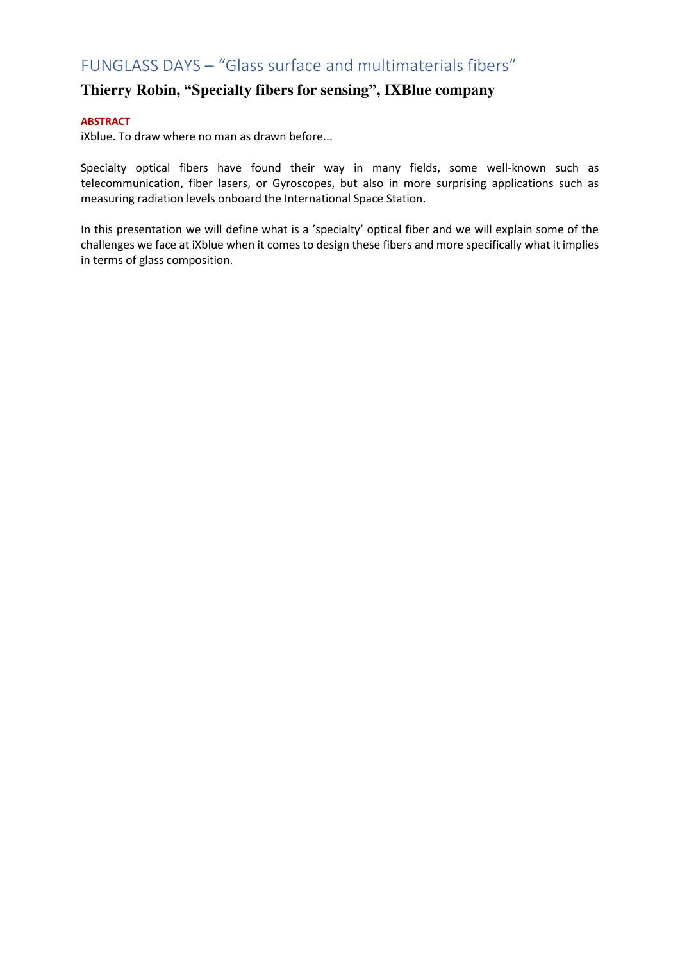## **Thierry Robin, "Specialty fibers for sensing", IXBlue company**

### **ABSTRACT**

iXblue. To draw where no man as drawn before...

Specialty optical fibers have found their way in many fields, some well-known such as telecommunication, fiber lasers, or Gyroscopes, but also in more surprising applications such as measuring radiation levels onboard the International Space Station.

In this presentation we will define what is a 'specialty' optical fiber and we will explain some of the challenges we face at iXblue when it comes to design these fibers and more specifically what it implies in terms of glass composition.